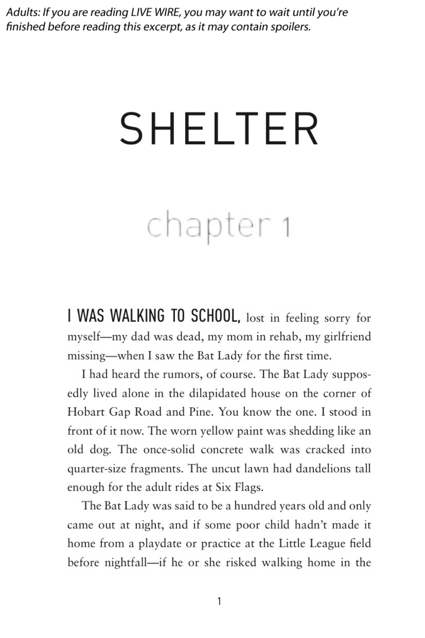Adults: If you are reading LIVE WIRE, you may want to wait until you're finished before reading this excerpt, as it may contain spoilers.

# **SHELTER**

# chapter 1

I WAS WALKING TO SCHOOL, lost in feeling sorry for myself-my dad was dead, my mom in rehab, my girlfriend missing—when I saw the Bat Lady for the first time.

I had heard the rumors, of course. The Bat Lady supposedly lived alone in the dilapidated house on the corner of Hobart Gap Road and Pine. You know the one. I stood in front of it now. The worn yellow paint was shedding like an old dog. The once-solid concrete walk was cracked into quarter-size fragments. The uncut lawn had dandelions tall enough for the adult rides at Six Flags.

The Bat Lady was said to be a hundred years old and only came out at night, and if some poor child hadn't made it home from a playdate or practice at the Little League field before nightfall—if he or she risked walking home in the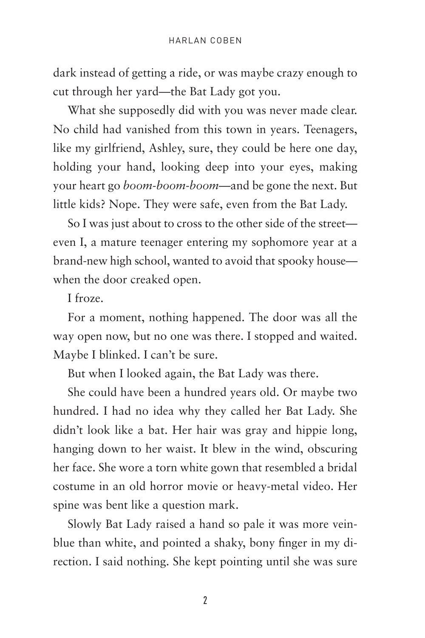dark instead of getting a ride, or was maybe crazy enough to cut through her yard—the Bat Lady got you.

What she supposedly did with you was never made clear. No child had vanished from this town in years. Teenagers, like my girlfriend, Ashley, sure, they could be here one day, holding your hand, looking deep into your eyes, making your heart go *boom-boom-boom*—and be gone the next. But little kids? Nope. They were safe, even from the Bat Lady.

So I was just about to cross to the other side of the street even I, a mature teenager entering my sophomore year at a brand-new high school, wanted to avoid that spooky house when the door creaked open.

I froze.

For a moment, nothing happened. The door was all the way open now, but no one was there. I stopped and waited. Maybe I blinked. I can't be sure.

But when I looked again, the Bat Lady was there.

She could have been a hundred years old. Or maybe two hundred. I had no idea why they called her Bat Lady. She didn't look like a bat. Her hair was gray and hippie long, hanging down to her waist. It blew in the wind, obscuring her face. She wore a torn white gown that resembled a bridal costume in an old horror movie or heavy-metal video. Her spine was bent like a question mark.

Slowly Bat Lady raised a hand so pale it was more veinblue than white, and pointed a shaky, bony finger in my direction. I said nothing. She kept pointing until she was sure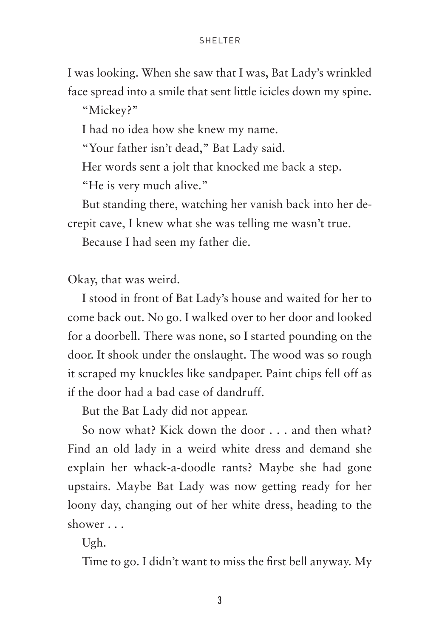I was looking. When she saw that I was, Bat Lady's wrinkled face spread into a smile that sent little icicles down my spine.

"Mickey?"

I had no idea how she knew my name.

"Your father isn't dead," Bat Lady said.

Her words sent a jolt that knocked me back a step.

"He is very much alive."

But standing there, watching her vanish back into her decrepit cave, I knew what she was telling me wasn't true.

Because I had seen my father die.

Okay, that was weird.

I stood in front of Bat Lady's house and waited for her to come back out. No go. I walked over to her door and looked for a doorbell. There was none, so I started pounding on the door. It shook under the onslaught. The wood was so rough it scraped my knuckles like sandpaper. Paint chips fell off as if the door had a bad case of dandruff.

But the Bat Lady did not appear.

So now what? Kick down the door . . . and then what? Find an old lady in a weird white dress and demand she explain her whack-a-doodle rants? Maybe she had gone upstairs. Maybe Bat Lady was now getting ready for her loony day, changing out of her white dress, heading to the shower . . .

Ugh.

Time to go. I didn't want to miss the first bell anyway. My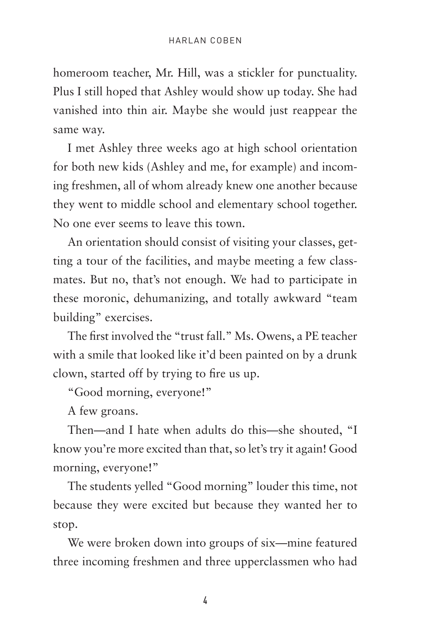homeroom teacher, Mr. Hill, was a stickler for punctuality. Plus I still hoped that Ashley would show up today. She had vanished into thin air. Maybe she would just reappear the same way.

I met Ashley three weeks ago at high school orientation for both new kids (Ashley and me, for example) and incoming freshmen, all of whom already knew one another because they went to middle school and elementary school together. No one ever seems to leave this town.

An orientation should consist of visiting your classes, getting a tour of the facilities, and maybe meeting a few classmates. But no, that's not enough. We had to participate in these moronic, dehumanizing, and totally awkward "team building" exercises.

The first involved the "trust fall." Ms. Owens, a PE teacher with a smile that looked like it'd been painted on by a drunk clown, started off by trying to fire us up.

"Good morning, everyone!"

A few groans.

Then—and I hate when adults do this—she shouted, "I know you're more excited than that, so let's try it again! Good morning, everyone!"

The students yelled "Good morning" louder this time, not because they were excited but because they wanted her to stop.

We were broken down into groups of six—mine featured three incoming freshmen and three upperclassmen who had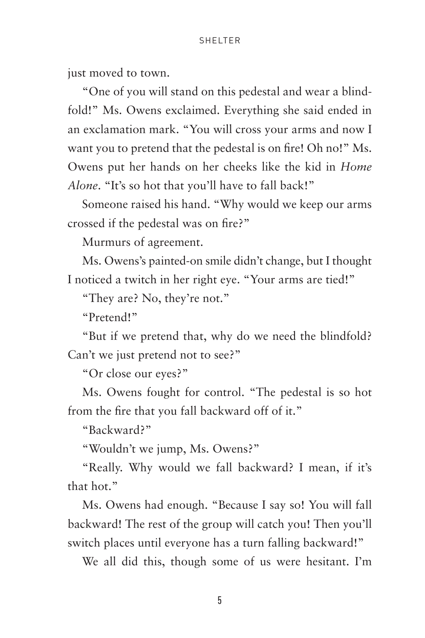just moved to town.

"One of you will stand on this pedestal and wear a blindfold!" Ms. Owens exclaimed. Everything she said ended in an exclamation mark. "You will cross your arms and now I want you to pretend that the pedestal is on fire! Oh no!" Ms. Owens put her hands on her cheeks like the kid in *Home Alone*. "It's so hot that you'll have to fall back!"

Someone raised his hand. "Why would we keep our arms crossed if the pedestal was on fire?"

Murmurs of agreement.

Ms. Owens's painted-on smile didn't change, but I thought I noticed a twitch in her right eye. "Your arms are tied!"

"They are? No, they're not."

"Pretend!"

"But if we pretend that, why do we need the blindfold? Can't we just pretend not to see?"

"Or close our eyes?"

Ms. Owens fought for control. "The pedestal is so hot from the fire that you fall backward off of it."

"Backward?"

"Wouldn't we jump, Ms. Owens?"

"Really. Why would we fall backward? I mean, if it's that hot."

Ms. Owens had enough. "Because I say so! You will fall backward! The rest of the group will catch you! Then you'll switch places until everyone has a turn falling backward!"

We all did this, though some of us were hesitant. I'm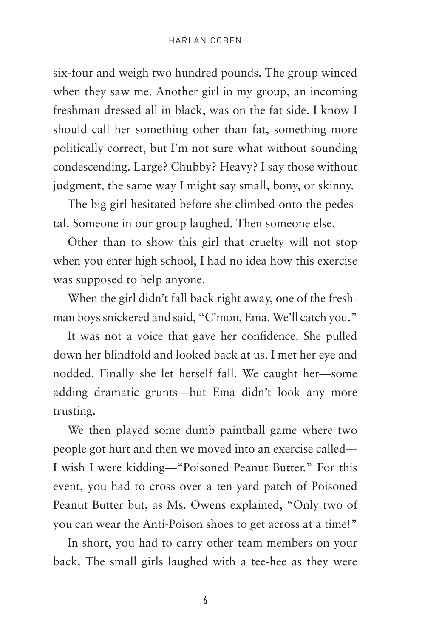six-four and weigh two hundred pounds. The group winced when they saw me. Another girl in my group, an incoming freshman dressed all in black, was on the fat side. I know I should call her something other than fat, something more politically correct, but I'm not sure what without sounding condescending. Large? Chubby? Heavy? I say those without judgment, the same way I might say small, bony, or skinny.

The big girl hesitated before she climbed onto the pedestal. Someone in our group laughed. Then someone else.

Other than to show this girl that cruelty will not stop when you enter high school, I had no idea how this exercise was supposed to help anyone.

When the girl didn't fall back right away, one of the freshman boys snickered and said, "C'mon, Ema. We'll catch you."

It was not a voice that gave her confidence. She pulled down her blindfold and looked back at us. I met her eye and nodded. Finally she let herself fall. We caught her—some adding dramatic grunts—but Ema didn't look any more trusting.

We then played some dumb paintball game where two people got hurt and then we moved into an exercise called— I wish I were kidding—"Poisoned Peanut Butter." For this event, you had to cross over a ten-yard patch of Poisoned Peanut Butter but, as Ms. Owens explained, "Only two of you can wear the Anti-Poison shoes to get across at a time!"

In short, you had to carry other team members on your back. The small girls laughed with a tee-hee as they were

6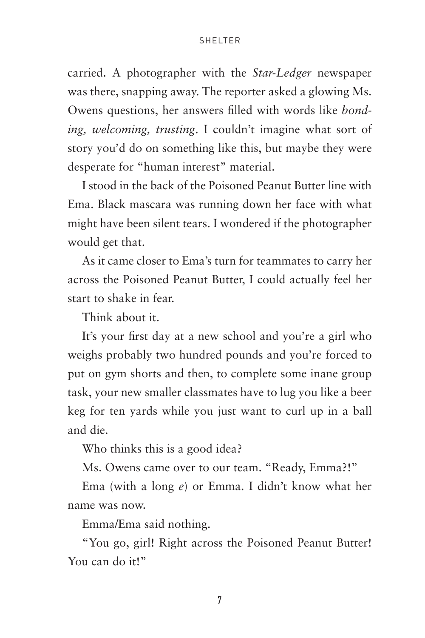carried. A photographer with the *Star-Ledger* newspaper was there, snapping away. The reporter asked a glowing Ms. Owens questions, her answers filled with words like *bonding, welcoming, trusting*. I couldn't imagine what sort of story you'd do on something like this, but maybe they were desperate for "human interest" material.

I stood in the back of the Poisoned Peanut Butter line with Ema. Black mascara was running down her face with what might have been silent tears. I wondered if the photographer would get that.

As it came closer to Ema's turn for teammates to carry her across the Poisoned Peanut Butter, I could actually feel her start to shake in fear.

Think about it.

It's your first day at a new school and you're a girl who weighs probably two hundred pounds and you're forced to put on gym shorts and then, to complete some inane group task, your new smaller classmates have to lug you like a beer keg for ten yards while you just want to curl up in a ball and die.

Who thinks this is a good idea?

Ms. Owens came over to our team. "Ready, Emma?!"

Ema (with a long *e*) or Emma. I didn't know what her name was now.

Emma/Ema said nothing.

"You go, girl! Right across the Poisoned Peanut Butter! You can do it!"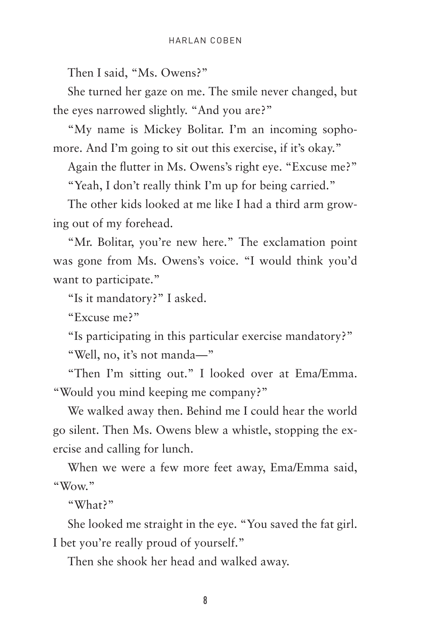Then I said, "Ms. Owens?"

She turned her gaze on me. The smile never changed, but the eyes narrowed slightly. "And you are?"

"My name is Mickey Bolitar. I'm an incoming sophomore. And I'm going to sit out this exercise, if it's okay."

Again the flutter in Ms. Owens's right eye. "Excuse me?"

"Yeah, I don't really think I'm up for being carried."

The other kids looked at me like I had a third arm growing out of my forehead.

"Mr. Bolitar, you're new here." The exclamation point was gone from Ms. Owens's voice. "I would think you'd want to participate."

"Is it mandatory?" I asked.

"Excuse me?"

"Is participating in this particular exercise mandatory?" "Well, no, it's not manda—"

"Then I'm sitting out." I looked over at Ema/Emma. "Would you mind keeping me company?"

We walked away then. Behind me I could hear the world go silent. Then Ms. Owens blew a whistle, stopping the exercise and calling for lunch.

When we were a few more feet away, Ema/Emma said, "Wow."

"What?"

She looked me straight in the eye. "You saved the fat girl. I bet you're really proud of yourself."

Then she shook her head and walked away.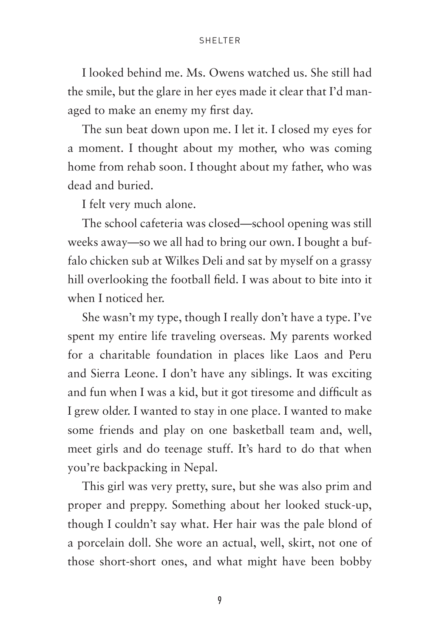I looked behind me. Ms. Owens watched us. She still had the smile, but the glare in her eyes made it clear that I'd managed to make an enemy my first day.

The sun beat down upon me. I let it. I closed my eyes for a moment. I thought about my mother, who was coming home from rehab soon. I thought about my father, who was dead and buried.

I felt very much alone.

The school cafeteria was closed—school opening was still weeks away—so we all had to bring our own. I bought a buffalo chicken sub at Wilkes Deli and sat by myself on a grassy hill overlooking the football field. I was about to bite into it when I noticed her.

She wasn't my type, though I really don't have a type. I've spent my entire life traveling overseas. My parents worked for a charitable foundation in places like Laos and Peru and Sierra Leone. I don't have any siblings. It was exciting and fun when I was a kid, but it got tiresome and difficult as I grew older. I wanted to stay in one place. I wanted to make some friends and play on one basketball team and, well, meet girls and do teenage stuff. It's hard to do that when you're backpacking in Nepal.

This girl was very pretty, sure, but she was also prim and proper and preppy. Something about her looked stuck-up, though I couldn't say what. Her hair was the pale blond of a porcelain doll. She wore an actual, well, skirt, not one of those short-short ones, and what might have been bobby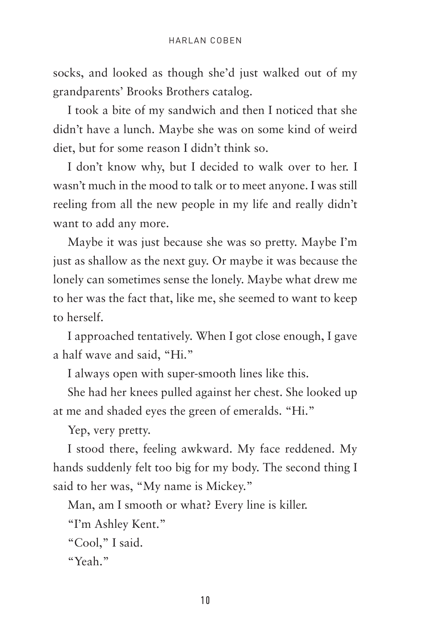socks, and looked as though she'd just walked out of my grandparents' Brooks Brothers catalog.

I took a bite of my sandwich and then I noticed that she didn't have a lunch. Maybe she was on some kind of weird diet, but for some reason I didn't think so.

I don't know why, but I decided to walk over to her. I wasn't much in the mood to talk or to meet anyone. I was still reeling from all the new people in my life and really didn't want to add any more.

Maybe it was just because she was so pretty. Maybe I'm just as shallow as the next guy. Or maybe it was because the lonely can sometimes sense the lonely. Maybe what drew me to her was the fact that, like me, she seemed to want to keep to herself.

I approached tentatively. When I got close enough, I gave a half wave and said, "Hi."

I always open with super-smooth lines like this.

She had her knees pulled against her chest. She looked up at me and shaded eyes the green of emeralds. "Hi."

Yep, very pretty.

I stood there, feeling awkward. My face reddened. My hands suddenly felt too big for my body. The second thing I said to her was, "My name is Mickey."

Man, am I smooth or what? Every line is killer.

"I'm Ashley Kent."

"Cool," I said.

"Yeah."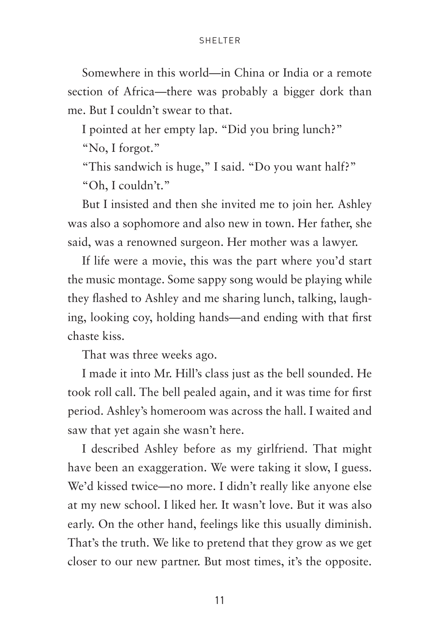Somewhere in this world—in China or India or a remote section of Africa—there was probably a bigger dork than me. But I couldn't swear to that.

I pointed at her empty lap. "Did you bring lunch?"

"No, I forgot."

"This sandwich is huge," I said. "Do you want half?" "Oh, I couldn't."

But I insisted and then she invited me to join her. Ashley was also a sophomore and also new in town. Her father, she said, was a renowned surgeon. Her mother was a lawyer.

If life were a movie, this was the part where you'd start the music montage. Some sappy song would be playing while they flashed to Ashley and me sharing lunch, talking, laughing, looking coy, holding hands—and ending with that first chaste kiss.

That was three weeks ago.

I made it into Mr. Hill's class just as the bell sounded. He took roll call. The bell pealed again, and it was time for first period. Ashley's homeroom was across the hall. I waited and saw that yet again she wasn't here.

I described Ashley before as my girlfriend. That might have been an exaggeration. We were taking it slow, I guess. We'd kissed twice—no more. I didn't really like anyone else at my new school. I liked her. It wasn't love. But it was also early. On the other hand, feelings like this usually diminish. That's the truth. We like to pretend that they grow as we get closer to our new partner. But most times, it's the opposite.